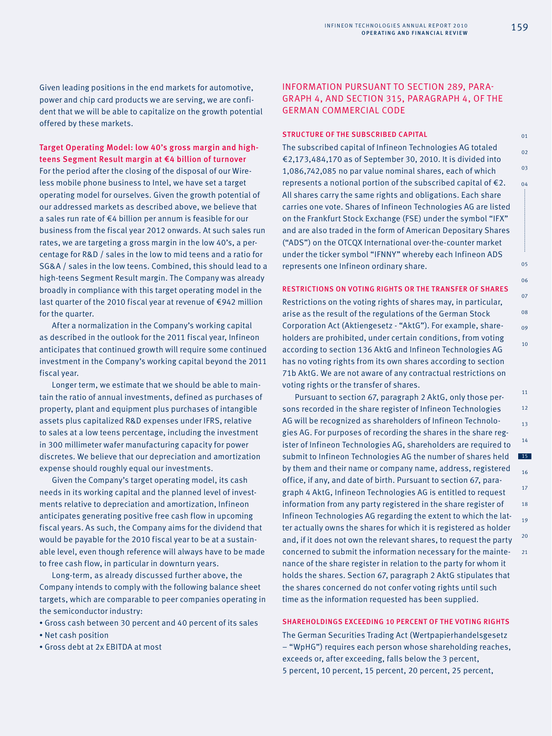Given leading positions in the end markets for automotive, power and chip card products we are serving, we are confident that we will be able to capitalize on the growth potential offered by these markets.

Target Operating Model: low 40's gross margin and highteens Segment Result margin at €4 billion of turnover For the period after the closing of the disposal of our Wireless mobile phone business to Intel, we have set a target operating model for ourselves. Given the growth potential of our addressed markets as described above, we believe that a sales run rate of €4 billion per annum is feasible for our business from the fiscal year 2012 onwards. At such sales run rates, we are targeting a gross margin in the low 40's, a percentage for R&D / sales in the low to mid teens and a ratio for SG&A / sales in the low teens. Combined, this should lead to a high-teens Segment Result margin. The Company was already broadly in compliance with this target operating model in the last quarter of the 2010 fiscal year at revenue of €942 million for the quarter.

After a normalization in the Company's working capital as described in the outlook for the 2011 fiscal year, Infineon anticipates that continued growth will require some continued investment in the Company's working capital beyond the 2011 fiscal year.

Longer term, we estimate that we should be able to maintain the ratio of annual investments, defined as purchases of property, plant and equipment plus purchases of intangible assets plus capitalized R&D expenses under IFRS, relative to sales at a low teens percentage, including the investment in 300 millimeter wafer manufacturing capacity for power discretes. We believe that our depreciation and amortization expense should roughly equal our investments.

Given the Company's target operating model, its cash needs in its working capital and the planned level of investments relative to depreciation and amortization, Infineon anticipates generating positive free cash flow in upcoming fiscal years. As such, the Company aims for the dividend that would be payable for the 2010 fiscal year to be at a sustainable level, even though reference will always have to be made to free cash flow, in particular in downturn years.

Long-term, as already discussed further above, the Company intends to comply with the following balance sheet targets, which are comparable to peer companies operating in the semiconductor industry:

- Gross cash between 30 percent and 40 percent of its sales
- Net cash position
- Gross debt at 2x EBITDA at most

# INFORMATION PURSUANT TO SECTION 289, PARA-GRAPH 4, AND SECTION 315, PARAGRAPH 4, OF THE GERMAN COMMERCIAL CODE

# STRUCTURE OF THE SUBSCRIBED CAPITAL

The subscribed capital of Infineon Technologies AG totaled €2,173,484,170 as of September 30, 2010. It is divided into 1,086,742,085 no par value nominal shares, each of which represents a notional portion of the subscribed capital of  $E$ 2. All shares carry the same rights and obligations. Each share carries one vote. Shares of Infineon Technologies AG are listed on the Frankfurt Stock Exchange (FSE) under the symbol "IFX" and are also traded in the form of American Depositary Shares ("ADS") on the OTCQX International over-the-counter market under the ticker symbol "IFNNY" whereby each Infineon ADS represents one Infineon ordinary share.

#### RESTRICTIONS ON VOTING RIGHTS OR THE TRANSFER OF SHARES

Restrictions on the voting rights of shares may, in particular, arise as the result of the regulations of the German Stock Corporation Act (Aktiengesetz - "AktG"). For example, shareholders are prohibited, under certain conditions, from voting according to section 136 AktG and Infineon Technologies AG has no voting rights from its own shares according to section 71b AktG. We are not aware of any contractual restrictions on voting rights or the transfer of shares.

12 13 14 15 16 18 19 20  $21$ Pursuant to section 67, paragraph 2 AktG, only those persons recorded in the share register of Infineon Technologies AG will be recognized as shareholders of Infineon Technologies AG. For purposes of recording the shares in the share register of Infineon Technologies AG, shareholders are required to submit to Infineon Technologies AG the number of shares held by them and their name or company name, address, registered office, if any, and date of birth. Pursuant to section 67, paragraph 4 AktG, Infineon Technologies AG is entitled to request information from any party registered in the share register of Infineon Technologies AG regarding the extent to which the latter actually owns the shares for which it is registered as holder and, if it does not own the relevant shares, to request the party concerned to submit the information necessary for the maintenance of the share register in relation to the party for whom it holds the shares. Section 67, paragraph 2 AktG stipulates that the shares concerned do not confer voting rights until such time as the information requested has been supplied.

# SHAREHOLDINGS EXCEEDING 10 percent OF THE VOTING RIGHTS

The German Securities Trading Act (Wertpapierhandelsgesetz – "WpHG") requires each person whose shareholding reaches, exceeds or, after exceeding, falls below the 3 percent, 5 percent, 10 percent, 15 percent, 20 percent, 25 percent,

11

17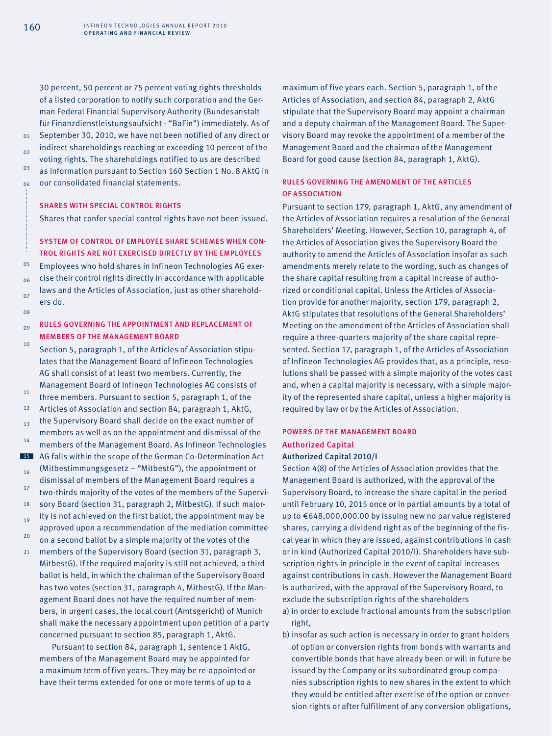30 percent, 50 percent or 75 percent voting rights thresholds of a listed corporation to notify such corporation and the German Federal Financial Supervisory Authority (Bundesanstalt für Finanzdienstleistungsaufsicht - "BaFin") immediately. As of September 30, 2010, we have not been notified of any direct or indirect shareholdings reaching or exceeding 10 percent of the voting rights. The shareholdings notified to us are described as information pursuant to Section 160 Section 1 No. 8 AktG in our consolidated financial statements.

# SHARES WITH SPECIAL CONTROL RIGHTS

Shares that confer special control rights have not been issued.

# SYSTEM OF CONTROL OF EMPLOYEE SHARE SCHEMES WHEN CON-TROL RIGHTS ARE NOT EXERCISED DIRECTLY BY THE EMPLOYEES

05  $06$ 07  $08$ Employees who hold shares in Infineon Technologies AG exercise their control rights directly in accordance with applicable laws and the Articles of Association, just as other shareholders do.

#### $09$ RULES GOVERNING THE APPOINTMENT AND REPLACEMENT OF MEMBERS OF THE MANAGEMENT BOARD

10 11 12 13 14 15 16 17 18 19 Section 5, paragraph 1, of the Articles of Association stipulates that the Management Board of Infineon Technologies AG shall consist of at least two members. Currently, the Management Board of Infineon Technologies AG consists of three members. Pursuant to section 5, paragraph 1, of the Articles of Association and section 84, paragraph 1, AktG, the Supervisory Board shall decide on the exact number of members as well as on the appointment and dismissal of the members of the Management Board. As Infineon Technologies AG falls within the scope of the German Co-Determination Act (Mitbestimmungsgesetz – "MitbestG"), the appointment or dismissal of members of the Management Board requires a two-thirds majority of the votes of the members of the Supervisory Board (section 31, paragraph 2, MitbestG). If such majority is not achieved on the first ballot, the appointment may be

- $20$ approved upon a recommendation of the mediation committee on a second ballot by a simple majority of the votes of the
- 21 members of the Supervisory Board (section 31, paragraph 3, MitbestG). If the required majority is still not achieved, a third ballot is held, in which the chairman of the Supervisory Board has two votes (section 31, paragraph 4, MitbestG). If the Management Board does not have the required number of members, in urgent cases, the local court (Amtsgericht) of Munich shall make the necessary appointment upon petition of a party concerned pursuant to section 85, paragraph 1, AktG.

Pursuant to section 84, paragraph 1, sentence 1 AktG, members of the Management Board may be appointed for a maximum term of five years. They may be re-appointed or have their terms extended for one or more terms of up to a

maximum of five years each. Section 5, paragraph 1, of the Articles of Association, and section 84, paragraph 2, AktG stipulate that the Supervisory Board may appoint a chairman and a deputy chairman of the Management Board. The Supervisory Board may revoke the appointment of a member of the Management Board and the chairman of the Management Board for good cause (section 84, paragraph 1, AktG).

# RULES GOVERNING THE AMENDMENT OF THE ARTICLES OF ASSOCIATION

Pursuant to section 179, paragraph 1, AktG, any amendment of the Articles of Association requires a resolution of the General Shareholders' Meeting. However, Section 10, paragraph 4, of the Articles of Association gives the Supervisory Board the authority to amend the Articles of Association insofar as such amendments merely relate to the wording, such as changes of the share capital resulting from a capital increase of authorized or conditional capital. Unless the Articles of Association provide for another majority, section 179, paragraph 2, AktG stipulates that resolutions of the General Shareholders' Meeting on the amendment of the Articles of Association shall require a three-quarters majority of the share capital represented. Section 17, paragraph 1, of the Articles of Association of Infineon Technologies AG provides that, as a principle, resolutions shall be passed with a simple majority of the votes cast and, when a capital majority is necessary, with a simple majority of the represented share capital, unless a higher majority is required by law or by the Articles of Association.

# POWERS OF THE MANAGEMENT BOARD Authorized Capital

### Authorized Capital 2010/I

Section 4(8) of the Articles of Association provides that the Management Board is authorized, with the approval of the Supervisory Board, to increase the share capital in the period until February 10, 2015 once or in partial amounts by a total of up to €648,000,000.00 by issuing new no par value registered shares, carrying a dividend right as of the beginning of the fiscal year in which they are issued, against contributions in cash or in kind (Authorized Capital 2010/I). Shareholders have subscription rights in principle in the event of capital increases against contributions in cash. However the Management Board is authorized, with the approval of the Supervisory Board, to exclude the subscription rights of the shareholders

- a) in order to exclude fractional amounts from the subscription right,
- b) insofar as such action is necessary in order to grant holders of option or conversion rights from bonds with warrants and convertible bonds that have already been or will in future be issued by the Company or its subordinated group companies subscription rights to new shares in the extent to which they would be entitled after exercise of the option or conversion rights or after fulfillment of any conversion obligations,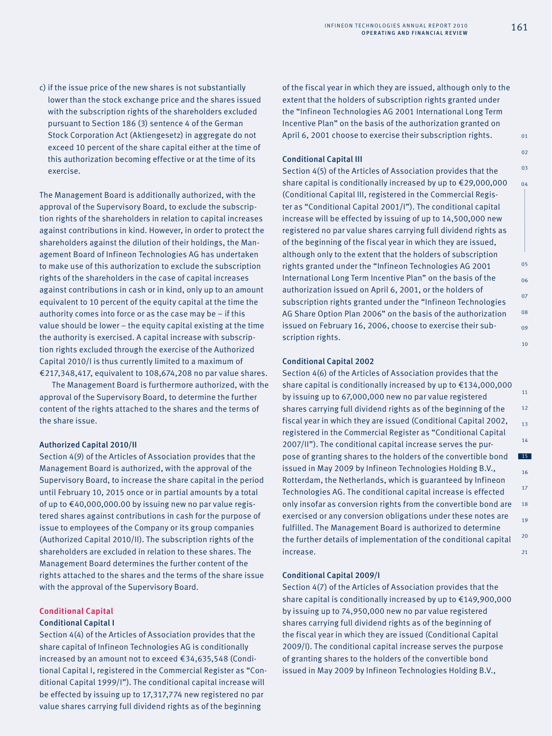c) if the issue price of the new shares is not substantially lower than the stock exchange price and the shares issued with the subscription rights of the shareholders excluded pursuant to Section 186 (3) sentence 4 of the German Stock Corporation Act (Aktiengesetz) in aggregate do not exceed 10 percent of the share capital either at the time of this authorization becoming effective or at the time of its exercise.

The Management Board is additionally authorized, with the approval of the Supervisory Board, to exclude the subscription rights of the shareholders in relation to capital increases against contributions in kind. However, in order to protect the shareholders against the dilution of their holdings, the Management Board of Infineon Technologies AG has undertaken to make use of this authorization to exclude the subscription rights of the shareholders in the case of capital increases against contributions in cash or in kind, only up to an amount equivalent to 10 percent of the equity capital at the time the authority comes into force or as the case may be – if this value should be lower – the equity capital existing at the time the authority is exercised. A capital increase with subscription rights excluded through the exercise of the Authorized Capital 2010/I is thus currently limited to a maximum of €217,348,417, equivalent to 108,674,208 no par value shares.

The Management Board is furthermore authorized, with the approval of the Supervisory Board, to determine the further content of the rights attached to the shares and the terms of the share issue.

### Authorized Capital 2010/II

Section 4(9) of the Articles of Association provides that the Management Board is authorized, with the approval of the Supervisory Board, to increase the share capital in the period until February 10, 2015 once or in partial amounts by a total of up to €40,000,000.00 by issuing new no par value registered shares against contributions in cash for the purpose of issue to employees of the Company or its group companies (Authorized Capital 2010/II). The subscription rights of the shareholders are excluded in relation to these shares. The Management Board determines the further content of the rights attached to the shares and the terms of the share issue with the approval of the Supervisory Board.

# Conditional Capital

### Conditional Capital I

Section 4(4) of the Articles of Association provides that the share capital of Infineon Technologies AG is conditionally increased by an amount not to exceed €34,635,548 (Conditional Capital I, registered in the Commercial Register as "Conditional Capital 1999/I"). The conditional capital increase will be effected by issuing up to 17,317,774 new registered no par value shares carrying full dividend rights as of the beginning

of the fiscal year in which they are issued, although only to the extent that the holders of subscription rights granted under the "Infineon Technologies AG 2001 International Long Term Incentive Plan" on the basis of the authorization granted on April 6, 2001 choose to exercise their subscription rights.

### Conditional Capital III

Section 4(5) of the Articles of Association provides that the share capital is conditionally increased by up to €29,000,000 (Conditional Capital III, registered in the Commercial Register as "Conditional Capital 2001/I"). The conditional capital increase will be effected by issuing of up to 14,500,000 new registered no par value shares carrying full dividend rights as of the beginning of the fiscal year in which they are issued, although only to the extent that the holders of subscription rights granted under the "Infineon Technologies AG 2001 International Long Term Incentive Plan" on the basis of the authorization issued on April 6, 2001, or the holders of subscription rights granted under the "Infineon Technologies AG Share Option Plan 2006" on the basis of the authorization issued on February 16, 2006, choose to exercise their subscription rights.

# Conditional Capital 2002

11 12 13 14 15 16 17 18 19  $20$  $21$ Section 4(6) of the Articles of Association provides that the share capital is conditionally increased by up to €134,000,000 by issuing up to 67,000,000 new no par value registered shares carrying full dividend rights as of the beginning of the fiscal year in which they are issued (Conditional Capital 2002, registered in the Commercial Register as "Conditional Capital 2007/II"). The conditional capital increase serves the purpose of granting shares to the holders of the convertible bond issued in May 2009 by Infineon Technologies Holding B.V., Rotterdam, the Netherlands, which is guaranteed by Infineon Technologies AG. The conditional capital increase is effected only insofar as conversion rights from the convertible bond are exercised or any conversion obligations under these notes are fulfilled. The Management Board is authorized to determine the further details of implementation of the conditional capital increase.

#### Conditional Capital 2009/I

Section 4(7) of the Articles of Association provides that the share capital is conditionally increased by up to €149,900,000 by issuing up to 74,950,000 new no par value registered shares carrying full dividend rights as of the beginning of the fiscal year in which they are issued (Conditional Capital 2009/I). The conditional capital increase serves the purpose of granting shares to the holders of the convertible bond issued in May 2009 by Infineon Technologies Holding B.V.,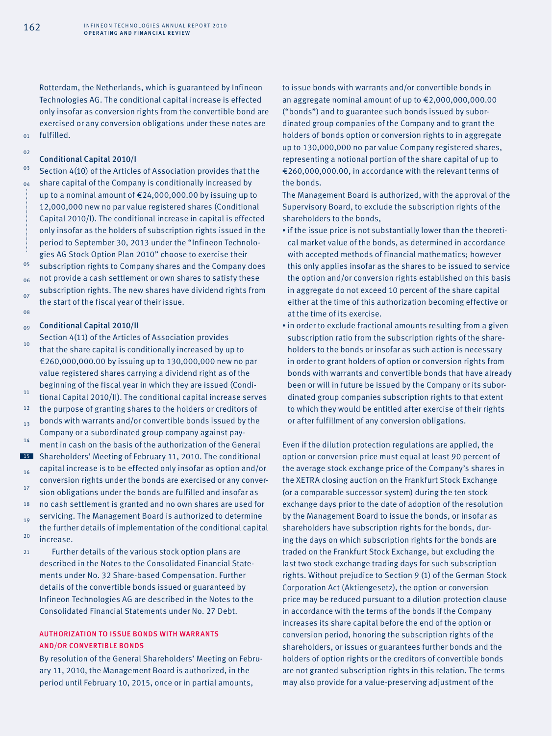$01$  $0<sub>2</sub>$ 

08

Rotterdam, the Netherlands, which is guaranteed by Infineon Technologies AG. The conditional capital increase is effected only insofar as conversion rights from the convertible bond are exercised or any conversion obligations under these notes are fulfilled.

#### Conditional Capital 2010/I

03 04 05 06 07 Section 4(10) of the Articles of Association provides that the share capital of the Company is conditionally increased by up to a nominal amount of €24,000,000.00 by issuing up to 12,000,000 new no par value registered shares (Conditional Capital 2010/I). The conditional increase in capital is effected only insofar as the holders of subscription rights issued in the period to September 30, 2013 under the "Infineon Technologies AG Stock Option Plan 2010" choose to exercise their subscription rights to Company shares and the Company does not provide a cash settlement or own shares to satisfy these subscription rights. The new shares have dividend rights from the start of the fiscal year of their issue.

#### $09$ Conditional Capital 2010/II

- $10<sup>10</sup>$ 11 12 13 14 15 16 17 18 19  $20$  $21$ Section 4(11) of the Articles of Association provides that the share capital is conditionally increased by up to €260,000,000.00 by issuing up to 130,000,000 new no par value registered shares carrying a dividend right as of the beginning of the fiscal year in which they are issued (Conditional Capital 2010/II). The conditional capital increase serves the purpose of granting shares to the holders or creditors of bonds with warrants and/or convertible bonds issued by the Company or a subordinated group company against payment in cash on the basis of the authorization of the General Shareholders' Meeting of February 11, 2010. The conditional capital increase is to be effected only insofar as option and/or conversion rights under the bonds are exercised or any conversion obligations under the bonds are fulfilled and insofar as no cash settlement is granted and no own shares are used for servicing. The Management Board is authorized to determine the further details of implementation of the conditional capital increase. Further details of the various stock option plans are
	- described in the Notes to the Consolidated Financial Statements under No. 32 Share-based Compensation. Further details of the convertible bonds issued or guaranteed by Infineon Technologies AG are described in the Notes to the Consolidated Financial Statements under No. 27 Debt.

# AUTHORIZATION TO ISSUE BONDS WITH WARRANTS AND/OR CONVERTIBLE BONDS

By resolution of the General Shareholders' Meeting on February 11, 2010, the Management Board is authorized, in the period until February 10, 2015, once or in partial amounts,

to issue bonds with warrants and/or convertible bonds in an aggregate nominal amount of up to €2,000,000,000.00 ("bonds") and to guarantee such bonds issued by subordinated group companies of the Company and to grant the holders of bonds option or conversion rights to in aggregate up to 130,000,000 no par value Company registered shares, representing a notional portion of the share capital of up to €260,000,000.00, in accordance with the relevant terms of the bonds.

The Management Board is authorized, with the approval of the Supervisory Board, to exclude the subscription rights of the shareholders to the bonds,

- if the issue price is not substantially lower than the theoretical market value of the bonds, as determined in accordance with accepted methods of financial mathematics; however this only applies insofar as the shares to be issued to service the option and/or conversion rights established on this basis in aggregate do not exceed 10 percent of the share capital either at the time of this authorization becoming effective or at the time of its exercise.
- in order to exclude fractional amounts resulting from a given subscription ratio from the subscription rights of the shareholders to the bonds or insofar as such action is necessary in order to grant holders of option or conversion rights from bonds with warrants and convertible bonds that have already been or will in future be issued by the Company or its subordinated group companies subscription rights to that extent to which they would be entitled after exercise of their rights or after fulfillment of any conversion obligations.

Even if the dilution protection regulations are applied, the option or conversion price must equal at least 90 percent of the average stock exchange price of the Company's shares in the XETRA closing auction on the Frankfurt Stock Exchange (or a comparable successor system) during the ten stock exchange days prior to the date of adoption of the resolution by the Management Board to issue the bonds, or insofar as shareholders have subscription rights for the bonds, during the days on which subscription rights for the bonds are traded on the Frankfurt Stock Exchange, but excluding the last two stock exchange trading days for such subscription rights. Without prejudice to Section 9 (1) of the German Stock Corporation Act (Aktiengesetz), the option or conversion price may be reduced pursuant to a dilution protection clause in accordance with the terms of the bonds if the Company increases its share capital before the end of the option or conversion period, honoring the subscription rights of the shareholders, or issues or guarantees further bonds and the holders of option rights or the creditors of convertible bonds are not granted subscription rights in this relation. The terms may also provide for a value-preserving adjustment of the